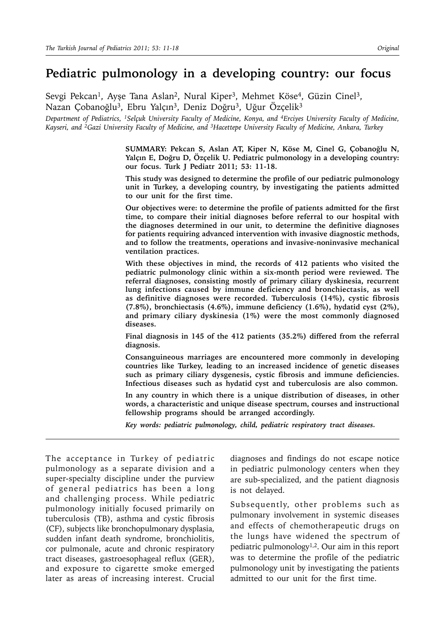# **Pediatric pulmonology in a developing country: our focus**

Sevgi Pekcan<sup>1</sup>, Ayşe Tana Aslan<sup>2</sup>, Nural Kiper<sup>3</sup>, Mehmet Köse<sup>4</sup>, Güzin Cinel<sup>3</sup>, Nazan Çobanoğlu<sup>3</sup>, Ebru Yalçın<sup>3</sup>, Deniz Doğru<sup>3</sup>, Uğur Özçelik<sup>3</sup>

*Department of Pediatrics, 1Selçuk University Faculty of Medicine, Konya, and 4Erciyes University Faculty of Medicine, Kayseri, and 2Gazi University Faculty of Medicine, and 3Hacettepe University Faculty of Medicine, Ankara, Turkey*

> **SUMMARY: Pekcan S, Aslan AT, Kiper N, Köse M, Cinel G, Çobanoğlu N, Yalçın E, Doğru D, Özçelik U. Pediatric pulmonology in a developing country: our focus. Turk J Pediatr 2011; 53: 11-18.**

> **This study was designed to determine the profile of our pediatric pulmonology unit in Turkey, a developing country, by investigating the patients admitted to our unit for the first time.**

> **Our objectives were: to determine the profile of patients admitted for the first time, to compare their initial diagnoses before referral to our hospital with the diagnoses determined in our unit, to determine the definitive diagnoses for patients requiring advanced intervention with invasive diagnostic methods, and to follow the treatments, operations and invasive-noninvasive mechanical ventilation practices.**

> **With these objectives in mind, the records of 412 patients who visited the pediatric pulmonology clinic within a six-month period were reviewed. The referral diagnoses, consisting mostly of primary ciliary dyskinesia, recurrent lung infections caused by immune deficiency and bronchiectasis, as well as definitive diagnoses were recorded. Tuberculosis (14%), cystic fibrosis (7.8%), bronchiectasis (4.6%), immune deficiency (1.6%), hydatid cyst (2%), and primary ciliary dyskinesia (1%) were the most commonly diagnosed diseases.**

> **Final diagnosis in 145 of the 412 patients (35.2%) differed from the referral diagnosis.**

> **Consanguineous marriages are encountered more commonly in developing countries like Turkey, leading to an increased incidence of genetic diseases such as primary ciliary dysgenesis, cystic fibrosis and immune deficiencies. Infectious diseases such as hydatid cyst and tuberculosis are also common.**

> **In any country in which there is a unique distribution of diseases, in other words, a characteristic and unique disease spectrum, courses and instructional fellowship programs should be arranged accordingly.**

*Key words: pediatric pulmonology, child, pediatric respiratory tract diseases.* 

The acceptance in Turkey of pediatric pulmonology as a separate division and a super-specialty discipline under the purview of general pediatrics has been a long and challenging process. While pediatric pulmonology initially focused primarily on tuberculosis (TB), asthma and cystic fibrosis (CF), subjects like bronchopulmonary dysplasia, sudden infant death syndrome, bronchiolitis, cor pulmonale, acute and chronic respiratory tract diseases, gastroesophageal reflux (GER), and exposure to cigarette smoke emerged later as areas of increasing interest. Crucial

diagnoses and findings do not escape notice in pediatric pulmonology centers when they are sub-specialized, and the patient diagnosis is not delayed.

Subsequently, other problems such as pulmonary involvement in systemic diseases and effects of chemotherapeutic drugs on the lungs have widened the spectrum of pediatric pulmonology1,2. Our aim in this report was to determine the profile of the pediatric pulmonology unit by investigating the patients admitted to our unit for the first time.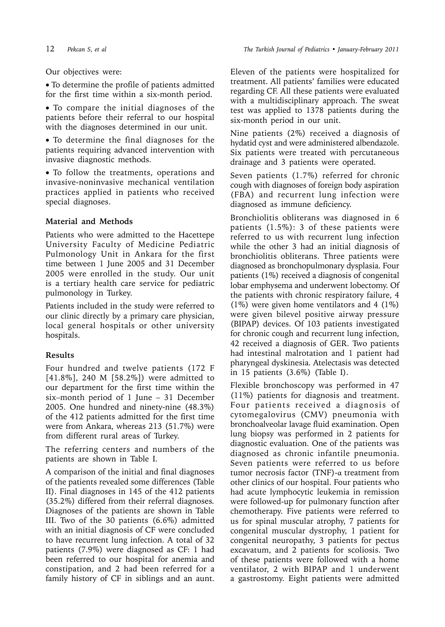Our objectives were:

• To determine the profile of patients admitted for the first time within a six-month period.

• To compare the initial diagnoses of the patients before their referral to our hospital with the diagnoses determined in our unit.

• To determine the final diagnoses for the patients requiring advanced intervention with invasive diagnostic methods.

• To follow the treatments, operations and invasive-noninvasive mechanical ventilation practices applied in patients who received special diagnoses.

## **Material and Methods**

Patients who were admitted to the Hacettepe University Faculty of Medicine Pediatric Pulmonology Unit in Ankara for the first time between 1 June 2005 and 31 December 2005 were enrolled in the study. Our unit is a tertiary health care service for pediatric pulmonology in Turkey.

Patients included in the study were referred to our clinic directly by a primary care physician, local general hospitals or other university hospitals.

# **Results**

Four hundred and twelve patients (172 F [41.8%], 240 M [58.2%]) were admitted to our department for the first time within the six–month period of 1 June – 31 December 2005. One hundred and ninety-nine (48.3%) of the 412 patients admitted for the first time were from Ankara, whereas 213 (51.7%) were from different rural areas of Turkey.

The referring centers and numbers of the patients are shown in Table I.

A comparison of the initial and final diagnoses of the patients revealed some differences (Table II). Final diagnoses in 145 of the 412 patients (35.2%) differed from their referral diagnoses*.*  Diagnoses of the patients are shown in Table III. Two of the 30 patients (6.6%) admitted with an initial diagnosis of CF were concluded to have recurrent lung infection. A total of 32 patients (7.9%) were diagnosed as CF: 1 had been referred to our hospital for anemia and constipation, and 2 had been referred for a family history of CF in siblings and an aunt.

Eleven of the patients were hospitalized for treatment. All patients' families were educated regarding CF. All these patients were evaluated with a multidisciplinary approach. The sweat test was applied to 1378 patients during the six-month period in our unit.

Nine patients (2%) received a diagnosis of hydatid cyst and were administered albendazole. Six patients were treated with percutaneous drainage and 3 patients were operated.

Seven patients (1.7%) referred for chronic cough with diagnoses of foreign body aspiration (FBA) and recurrent lung infection were diagnosed as immune deficiency.

Bronchiolitis obliterans was diagnosed in 6 patients (1.5%): 3 of these patients were referred to us with recurrent lung infection while the other 3 had an initial diagnosis of bronchiolitis obliterans. Three patients were diagnosed as bronchopulmonary dysplasia. Four patients (1%) received a diagnosis of congenital lobar emphysema and underwent lobectomy. Of the patients with chronic respiratory failure, 4 (1%) were given home ventilators and 4 (1%) were given bilevel positive airway pressure (BIPAP) devices. Of 103 patients investigated for chronic cough and recurrent lung infection, 42 received a diagnosis of GER. Two patients had intestinal malrotation and 1 patient had pharyngeal dyskinesia. Atelectasis was detected in 15 patients (3.6%) (Table I).

Flexible bronchoscopy was performed in 47 (11%) patients for diagnosis and treatment. Four patients received a diagnosis of cytomegalovirus (CMV) pneumonia with bronchoalveolar lavage fluid examination. Open lung biopsy was performed in 2 patients for diagnostic evaluation. One of the patients was diagnosed as chronic infantile pneumonia. Seven patients were referred to us before tumor necrosis factor (TNF)-α treatment from other clinics of our hospital. Four patients who had acute lymphocytic leukemia in remission were followed-up for pulmonary function after chemotherapy. Five patients were referred to us for spinal muscular atrophy, 7 patients for congenital muscular dystrophy, 1 patient for congenital neuropathy, 3 patients for pectus excavatum, and 2 patients for scoliosis. Two of these patients were followed with a home ventilator, 2 with BIPAP and 1 underwent a gastrostomy. Eight patients were admitted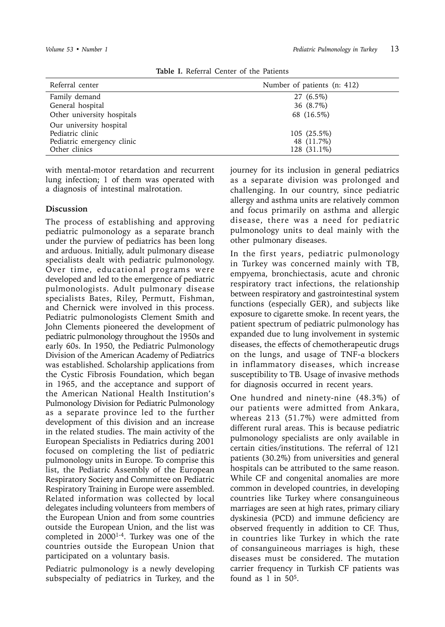| Referral center            | Number of patients (n: 412) |
|----------------------------|-----------------------------|
| Family demand              | 27 (6.5%)                   |
| General hospital           | 36 (8.7%)                   |
| Other university hospitals | 68 (16.5%)                  |
| Our university hospital    |                             |
| Pediatric clinic           | 105 (25.5%)                 |
| Pediatric emergency clinic | 48 (11.7%)                  |
| Other clinics              | 128 (31.1%)                 |
|                            |                             |

**Table I.** Referral Center of the Patients

with mental-motor retardation and recurrent lung infection; 1 of them was operated with a diagnosis of intestinal malrotation.

### **Discussion**

The process of establishing and approving pediatric pulmonology as a separate branch under the purview of pediatrics has been long and arduous. Initially, adult pulmonary disease specialists dealt with pediatric pulmonology. Over time, educational programs were developed and led to the emergence of pediatric pulmonologists. Adult pulmonary disease specialists Bates, Riley, Permutt, Fishman, and Chernick were involved in this process. Pediatric pulmonologists Clement Smith and John Clements pioneered the development of pediatric pulmonology throughout the 1950s and early 60s. In 1950, the Pediatric Pulmonology Division of the American Academy of Pediatrics was established. Scholarship applications from the Cystic Fibrosis Foundation, which began in 1965, and the acceptance and support of the American National Health Institution's Pulmonology Division for Pediatric Pulmonology as a separate province led to the further development of this division and an increase in the related studies. The main activity of the European Specialists in Pediatrics during 2001 focused on completing the list of pediatric pulmonology units in Europe. To comprise this list, the Pediatric Assembly of the European Respiratory Society and Committee on Pediatric Respiratory Training in Europe were assembled. Related information was collected by local delegates including volunteers from members of the European Union and from some countries outside the European Union, and the list was completed in 20001-4. Turkey was one of the countries outside the European Union that participated on a voluntary basis.

Pediatric pulmonology is a newly developing subspecialty of pediatrics in Turkey, and the

journey for its inclusion in general pediatrics as a separate division was prolonged and challenging. In our country, since pediatric allergy and asthma units are relatively common and focus primarily on asthma and allergic disease, there was a need for pediatric pulmonology units to deal mainly with the other pulmonary diseases.

In the first years, pediatric pulmonology in Turkey was concerned mainly with TB, empyema, bronchiectasis, acute and chronic respiratory tract infections, the relationship between respiratory and gastrointestinal system functions (especially GER), and subjects like exposure to cigarette smoke. In recent years, the patient spectrum of pediatric pulmonology has expanded due to lung involvement in systemic diseases, the effects of chemotherapeutic drugs on the lungs, and usage of TNF-α blockers in inflammatory diseases, which increase susceptibility to TB. Usage of invasive methods for diagnosis occurred in recent years.

One hundred and ninety-nine (48.3%) of our patients were admitted from Ankara, whereas 213 (51.7%) were admitted from different rural areas. This is because pediatric pulmonology specialists are only available in certain cities/institutions. The referral of 121 patients (30.2%) from universities and general hospitals can be attributed to the same reason. While CF and congenital anomalies are more common in developed countries, in developing countries like Turkey where consanguineous marriages are seen at high rates, primary ciliary dyskinesia (PCD) and immune deficiency are observed frequently in addition to CF. Thus, in countries like Turkey in which the rate of consanguineous marriages is high, these diseases must be considered. The mutation carrier frequency in Turkish CF patients was found as  $1$  in  $50<sup>5</sup>$ .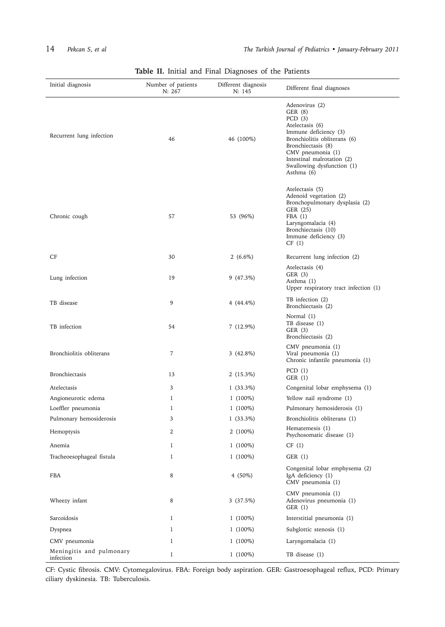| Initial diagnosis                     | Number of patients<br>N: 267 | Different diagnosis<br>N: 145 | Different final diagnoses                                                                                                                                                                                                               |
|---------------------------------------|------------------------------|-------------------------------|-----------------------------------------------------------------------------------------------------------------------------------------------------------------------------------------------------------------------------------------|
| Recurrent lung infection              | 46                           | 46 (100%)                     | Adenovirus (2)<br>GER (8)<br>PCD $(3)$<br>Atelectasis (6)<br>Immune deficiency (3)<br>Bronchiolitis obliterans (6)<br>Bronchiectasis (8)<br>CMV pneumonia (1)<br>Intestinal malrotation (2)<br>Swallowing dysfunction (1)<br>Asthma (6) |
| Chronic cough                         | 57                           | 53 (96%)                      | Atelectasis (5)<br>Adenoid vegetation (2)<br>Bronchopulmonary dysplasia (2)<br>GER (25)<br>FBA(1)<br>Laryngomalacia (4)<br>Bronchiectasis (10)<br>Immune deficiency (3)<br>CF(1)                                                        |
| CF                                    | 30                           | 2 $(6.6\%)$                   | Recurrent lung infection (2)                                                                                                                                                                                                            |
| Lung infection                        | 19                           | $9(47.3\%)$                   | Atelectasis (4)<br>GER (3)<br>Asthma (1)<br>Upper respiratory tract infection (1)                                                                                                                                                       |
| TB disease                            | 9                            | 4 $(44.4\%)$                  | TB infection (2)<br>Bronchiectasis (2)                                                                                                                                                                                                  |
| TB infection                          | 54                           | $7(12.9\%)$                   | Normal (1)<br>TB disease (1)<br>GER $(3)$<br>Bronchiectasis (2)                                                                                                                                                                         |
| Bronchiolitis obliterans              | 7                            | $3(42.8\%)$                   | CMV pneumonia (1)<br>Viral pneumonia (1)<br>Chronic infantile pneumonia (1)                                                                                                                                                             |
| Bronchiectasis                        | 13                           | $2(15.3\%)$                   | PCD(1)<br>GER (1)                                                                                                                                                                                                                       |
| Atelectasis                           | 3                            | $1(33.3\%)$                   | Congenital lobar emphysema (1)                                                                                                                                                                                                          |
| Angioneurotic edema                   | 1                            | $1(100\%)$                    | Yellow nail syndrome (1)                                                                                                                                                                                                                |
| Loeffler pneumonia                    | 1                            | $1(100\%)$                    | Pulmonary hemosiderosis (1)                                                                                                                                                                                                             |
| Pulmonary hemosiderosis               | 3                            | $1(33.3\%)$                   | Bronchiolitis obliterans (1)                                                                                                                                                                                                            |
| Hemoptysis                            | $\boldsymbol{2}$             | 2 (100%)                      | Hematemesis (1)<br>Psychosomatic disease (1)                                                                                                                                                                                            |
| Anemia                                | 1                            | $1(100\%)$                    | CF(1)                                                                                                                                                                                                                                   |
| Tracheoesophageal fistula             | 1                            | $1(100\%)$                    | GER(1)                                                                                                                                                                                                                                  |
| FBA                                   | 8                            | $4(50\%)$                     | Congenital lobar emphysema (2)<br>IgA deficiency (1)<br>CMV pneumonia (1)                                                                                                                                                               |
| Wheezy infant                         | 8                            | 3(37.5%)                      | CMV pneumonia (1)<br>Adenovirus pneumonia (1)<br>GER (1)                                                                                                                                                                                |
| Sarcoidosis                           | 1                            | $1(100\%)$                    | Interstitial pneumonia (1)                                                                                                                                                                                                              |
| Dyspnea                               | 1                            | $1(100\%)$                    | Subglottic stenosis (1)                                                                                                                                                                                                                 |
| CMV pneumonia                         | 1                            | $1(100\%)$                    | Laryngomalacia (1)                                                                                                                                                                                                                      |
| Meningitis and pulmonary<br>infection | $\mathbf{1}$                 | $1(100\%)$                    | TB disease (1)                                                                                                                                                                                                                          |

**Table II.** Initial and Final Diagnoses of the Patients

CF: Cystic fibrosis. CMV: Cytomegalovirus. FBA: Foreign body aspiration. GER: Gastroesophageal reflux, PCD: Primary ciliary dyskinesia. TB: Tuberculosis.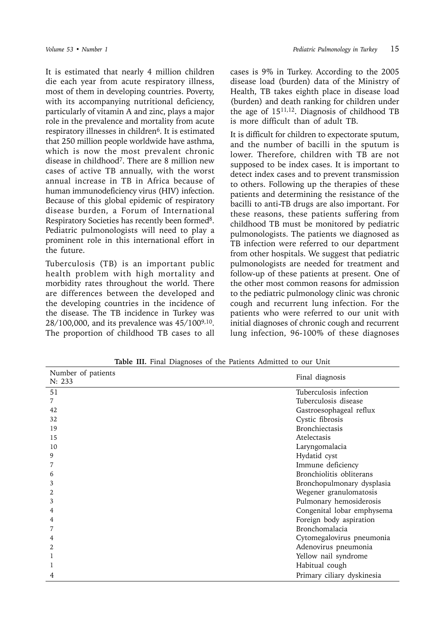It is estimated that nearly 4 million children die each year from acute respiratory illness, most of them in developing countries. Poverty, with its accompanying nutritional deficiency, particularly of vitamin A and zinc, plays a major role in the prevalence and mortality from acute respiratory illnesses in children<sup>6</sup>. It is estimated that 250 million people worldwide have asthma, which is now the most prevalent chronic disease in childhood7. There are 8 million new cases of active TB annually, with the worst annual in crease in TB in Africa because of human immunodeficiency virus (HIV) infection. Because of this global epidemic of respiratory disease burden, a Forum of International Respiratory Societies has recently been formed<sup>8</sup>. Pediatric pulmonologists will need to play a prominent role in this international effort in the future.

Tuberculosis (TB) is an important public health problem with high mortality and morbidity rates throughout the world. There are differences between the developed and the developing countries in the incidence of the disease. The TB incidence in Turkey was 28/100,000, and its prevalence was 45/1009,10. The proportion of childhood TB cases to all

cases is 9% in Turkey. According to the 2005 disease load (burden) data of the Ministry of Health, TB takes eighth place in disease load (burden) and death ranking for children under the age of  $15^{11,12}$ . Diagnosis of childhood TB is more difficult than of adult TB.

It is difficult for children to expectorate sputum, and the number of bacilli in the sputum is lower. Therefore, children with TB are not supposed to be index cases. It is important to detect index cases and to prevent transmission to others. Following up the therapies of these patients and determining the resistance of the bacilli to anti-TB drugs are also important. For these reasons, these patients suffering from childhood TB must be monitored by pediatric pulmonologists. The patients we diagnosed as TB infection were referred to our department from other hospitals. We suggest that pediatric pulmonologists are needed for treatment and follow-up of these patients at present. One of the other most common reasons for admission to the pediatric pulmonology clinic was chronic cough and recurrent lung infection. For the patients who were referred to our unit with initial diagnoses of chronic cough and recurrent lung infection, 96-100% of these diagnoses

| Number of patients<br>N: 233 | Final diagnosis            |
|------------------------------|----------------------------|
| 51                           | Tuberculosis infection     |
| 7                            | Tuberculosis disease       |
| 42                           | Gastroesophageal reflux    |
| 32                           | Cystic fibrosis            |
| 19                           | <b>Bronchiectasis</b>      |
| 15                           | Atelectasis                |
| 10                           | Laryngomalacia             |
| 9                            | Hydatid cyst               |
|                              | Immune deficiency          |
| 6                            | Bronchiolitis obliterans   |
| 3                            | Bronchopulmonary dysplasia |
| 2                            | Wegener granulomatosis     |
| 3                            | Pulmonary hemosiderosis    |
| 4                            | Congenital lobar emphysema |
| 4                            | Foreign body aspiration    |
|                              | Bronchomalacia             |
| 4                            | Cytomegalovirus pneumonia  |
| $\mathfrak{D}$               | Adenovirus pneumonia       |
|                              | Yellow nail syndrome       |
|                              | Habitual cough             |
| 4                            | Primary ciliary dyskinesia |

**Table III.** Final Diagnoses of the Patients Admitted to our Unit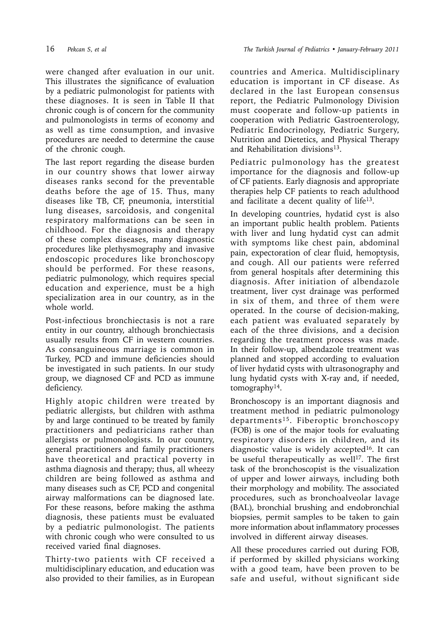were changed after evaluation in our unit. This illustrates the significance of evaluation by a pediatric pulmonologist for patients with these diagnoses. It is seen in Table II that chronic cough is of concern for the community and pulmonologists in terms of economy and as well as time consumption, and invasive procedures are needed to determine the cause of the chronic cough.

The last report regarding the disease burden in our country shows that lower airway diseases ranks second for the preventable deaths before the age of 15. Thus, many diseases like TB, CF, pneumonia, interstitial lung diseases, sarcoidosis, and congenital respiratory malformations can be seen in childhood. For the diagnosis and therapy of these complex diseases, many diagnostic procedures like plethysmography and invasive endoscopic procedures like bronchoscopy should be performed. For these reasons, pediatric pulmonology, which requires special education and experience, must be a high specialization area in our country, as in the whole world.

Post-infectious bronchiectasis is not a rare entity in our country, although bronchiectasis usually results from CF in western countries. As consanguineous marriage is common in Turkey, PCD and immune deficiencies should be investigated in such patients. In our study group, we diagnosed CF and PCD as immune deficiency.

Highly atopic children were treated by pediatric allergists, but children with asthma by and large continued to be treated by family practitioners and pediatricians rather than allergists or pulmonologists. In our country, general practitioners and family practitioners have theoretical and practical poverty in asthma diagnosis and therapy; thus, all wheezy children are being followed as asthma and many diseases such as CF, PCD and congenital airway malformations can be diagnosed late. For these reasons, before making the asthma diagnosis, these patients must be evaluated by a pediatric pulmonologist. The patients with chronic cough who were consulted to us received varied final diagnoses.

Thirty-two patients with CF received a multidisciplinary education, and education was also provided to their families, as in European countries and America. Multidisciplinary education is important in CF disease. As declared in the last European consensus report, the Pediatric Pulmonology Division must cooperate and follow-up patients in cooperation with Pediatric Gastroenterology, Pediatric Endocrinology, Pediatric Surgery, Nutrition and Dietetics, and Physical Therapy and Rehabilitation divisions<sup>13</sup>.

Pediatric pulmonology has the greatest importance for the diagnosis and follow-up of CF patients. Early diagnosis and appropriate therapies help CF patients to reach adulthood and facilitate a decent quality of life13.

In developing countries, hydatid cyst is also an important public health problem. Patients with liver and lung hydatid cyst can admit with symptoms like chest pain, abdominal pain, expectoration of clear fluid, hemoptysis, and cough. All our patients were referred from general hospitals after determining this diagnosis. After initiation of albendazole treatment, liver cyst drainage was performed in six of them, and three of them were operated. In the course of decision-making, each patient was evaluated separately by each of the three divisions, and a decision regarding the treatment process was made. In their follow-up, albendazole treatment was planned and stopped according to evaluation of liver hydatid cysts with ultrasonography and lung hydatid cysts with X-ray and, if needed, tomography14.

Bronchoscopy is an important diagnosis and treatment method in pediatric pulmonology departments15. Fiberoptic bronchoscopy (FOB) is one of the major tools for evaluating respiratory disorders in children, and its diagnostic value is widely accepted<sup>16</sup>. It can be useful therapeutically as well $17$ . The first task of the bronchoscopist is the visualization of upper and lower airways, including both their morphology and mobility. The associated procedures, such as bronchoalveolar lavage (BAL), bronchial brushing and endobronchial biopsies, permit samples to be taken to gain more information about inflammatory processes involved in different airway diseases.

All these procedures carried out during FOB, if performed by skilled physicians working with a good team, have been proven to be safe and useful, without significant side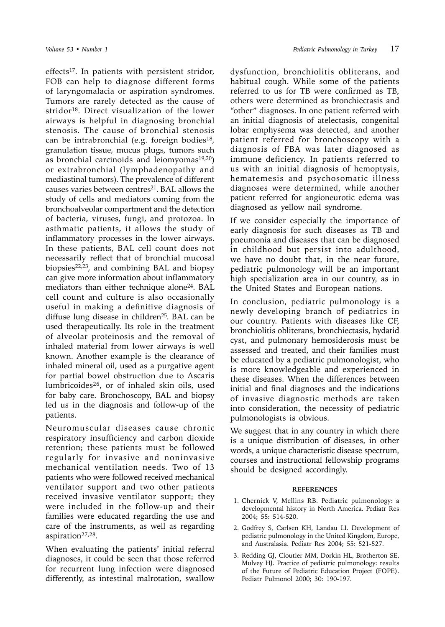effects<sup>17</sup>. In patients with persistent stridor, FOB can help to diagnose different forms of laryngomalacia or aspiration syndromes. Tumors are rarely detected as the cause of stridor18. Direct visualization of the lower airways is helpful in diagnosing bronchial stenosis. The cause of bronchial stenosis can be intrabronchial (e.g. foreign bodies<sup>18</sup>, granulation tissue, mucus plugs, tumors such as bronchial carcinoids and leiomyomas $19,20$ ) or extrabronchial (lymphadenopathy and mediastinal tumors). The prevalence of different causes varies between centres $21$ . BAL allows the study of cells and mediators coming from the bronchoalveolar compartment and the detection of bacteria, viruses, fungi, and protozoa. In asthmatic patients, it allows the study of inflammatory processes in the lower airways. In these patients, BAL cell count does not necessarily reflect that of bronchial mucosal biopsies $22,23$ , and combining BAL and biopsy can give more information about inflammatory mediators than either technique alone<sup>24</sup>. BAL cell count and culture is also occasionally useful in making a definitive diagnosis of diffuse lung disease in children<sup>25</sup>. BAL can be used therapeutically. Its role in the treatment of alveolar proteinosis and the removal of inhaled material from lower airways is well known. Another example is the clearance of inhaled mineral oil, used as a purgative agent for partial bowel obstruction due to Ascaris lumbricoides26, or of inhaled skin oils, used for baby care. Bronchoscopy, BAL and biopsy led us in the diagnosis and follow-up of the patients.

Neuromuscular diseases cause chronic respiratory insufficiency and carbon dioxide retention; these patients must be followed regularly for invasive and noninvasive mechanical ventilation needs. Two of 13 patients who were followed received mechanical ventilator support and two other patients received invasive ventilator support; they were included in the follow-up and their families were educated regarding the use and care of the instruments, as well as regarding aspiration27,28.

When evaluating the patients' initial referral diagnoses, it could be seen that those referred for recurrent lung infection were diagnosed differently, as intestinal malrotation, swallow

dysfunction, bronchiolitis obliterans, and habitual cough. While some of the patients referred to us for TB were confirmed as TB, others were determined as bronchiectasis and "other" diagnoses. In one patient referred with an initial diagnosis of atelectasis, congenital lobar emphysema was detected, and another patient referred for bronchoscopy with a diagnosis of FBA was later diagnosed as immune deficiency. In patients referred to us with an initial diagnosis of hemoptysis, hematemesis and psychosomatic illness diagnoses were determined, while another patient referred for angioneurotic edema was diagnosed as yellow nail syndrome.

If we consider especially the importance of early diagnosis for such diseases as TB and pneumonia and diseases that can be diagnosed in childhood but persist into adulthood, we have no doubt that, in the near future, pediatric pulmonology will be an important high specialization area in our country, as in the United States and European nations.

In conclusion, pediatric pulmonology is a newly developing branch of pediatrics in our country. Patients with diseases like CF, bronchiolitis obliterans, bronchiectasis, hydatid cyst, and pulmonary hemosiderosis must be assessed and treated, and their families must be educated by a pediatric pulmonologist, who is more knowledgeable and experienced in these diseases. When the differences between initial and final diagnoses and the indications of invasive diagnostic methods are taken into consideration, the necessity of pediatric pulmonologists is obvious.

We suggest that in any country in which there is a unique distribution of diseases, in other words, a unique characteristic disease spectrum, courses and instructional fellowship programs should be designed accordingly.

#### **REFERENCES**

- 1. Chernick V, Mellins RB. Pediatric pulmonology: a developmental history in North America. Pediatr Res 2004; 55: 514-520.
- 2. Godfrey S, Carlsen KH, Landau LI. Development of pediatric pulmonology in the United Kingdom, Europe, and Australasia. Pediatr Res 2004; 55: 521-527.
- 3. Redding GJ, Cloutier MM, Dorkin HL, Brotherton SE, Mulvey HJ. Practice of pediatric pulmonology: results of the Future of Pediatric Education Project (FOPE). Pediatr Pulmonol 2000; 30: 190-197.